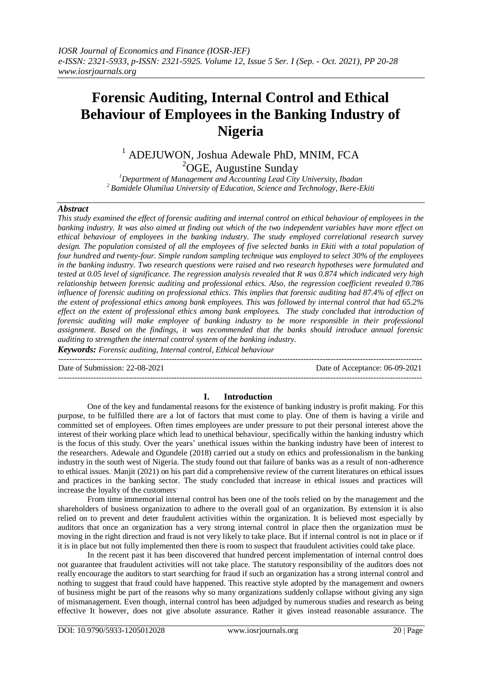# **Forensic Auditing, Internal Control and Ethical Behaviour of Employees in the Banking Industry of Nigeria**

<sup>1</sup> ADEJUWON, Joshua Adewale PhD, MNIM, FCA <sup>2</sup>OGE, Augustine Sunday

*<sup>1</sup>Department of Management and Accounting Lead City University, Ibadan <sup>2</sup>Bamidele Olumilua University of Education, Science and Technology, Ikere-Ekiti*

#### *Abstract*

*This study examined the effect of forensic auditing and internal control on ethical behaviour of employees in the banking industry. It was also aimed at finding out which of the two independent variables have more effect on ethical behaviour of employees in the banking industry. The study employed correlational research survey design. The population consisted of all the employees of five selected banks in Ekiti with a total population of four hundred and twenty-four. Simple random sampling technique was employed to select 30% of the employees in the banking industry. Two research questions were raised and two research hypotheses were formulated and tested at 0.05 level of significance. The regression analysis revealed that R was 0.874 which indicated very high relationship between forensic auditing and professional ethics. Also, the regression coefficient revealed 0.786 influence of forensic auditing on professional ethics. This implies that forensic auditing had 87.4% of effect on the extent of professional ethics among bank employees. This was followed by internal control that had 65.2% effect on the extent of professional ethics among bank employees. The study concluded that introduction of forensic auditing will make employee of banking industry to be more responsible in their professional assignment. Based on the findings, it was recommended that the banks should introduce annual forensic auditing to strengthen the internal control system of the banking industry.*

*Keywords: Forensic auditing, Internal control, Ethical behaviour* ---------------------------------------------------------------------------------------------------------------------------------------

Date of Submission: 22-08-2021 Date of Acceptance: 06-09-2021

# **I. Introduction**

---------------------------------------------------------------------------------------------------------------------------------------

One of the key and fundamental reasons for the existence of banking industry is profit making. For this purpose, to be fulfilled there are a lot of factors that must come to play. One of them is having a virile and committed set of employees. Often times employees are under pressure to put their personal interest above the interest of their working place which lead to unethical behaviour, specifically within the banking industry which is the focus of this study. Over the years' unethical issues within the banking industry have been of interest to the researchers. Adewale and Ogundele (2018) carried out a study on ethics and professionalism in the banking industry in the south west of Nigeria. The study found out that failure of banks was as a result of non-adherence to ethical issues. . Manjit (2021) on his part did a comprehensive review of the current literatures on ethical issues and practices in the banking sector. The study concluded that increase in ethical issues and practices will increase the loyalty of the customers.

From time immemorial internal control has been one of the tools relied on by the management and the shareholders of business organization to adhere to the overall goal of an organization. By extension it is also relied on to prevent and deter fraudulent activities within the organization. It is believed most especially by auditors that once an organization has a very strong internal control in place then the organization must be moving in the right direction and fraud is not very likely to take place. But if internal control is not in place or if it is in place but not fully implemented then there is room to suspect that fraudulent activities could take place.

In the recent past it has been discovered that hundred percent implementation of internal control does not guarantee that fraudulent activities will not take place. The statutory responsibility of the auditors does not really encourage the auditors to start searching for fraud if such an organization has a strong internal control and nothing to suggest that fraud could have happened. This reactive style adopted by the management and owners of business might be part of the reasons why so many organizations suddenly collapse without giving any sign of mismanagement. Even though, internal control has been adjudged by numerous studies and research as being effective It however, does not give absolute assurance. Rather it gives instead reasonable assurance. The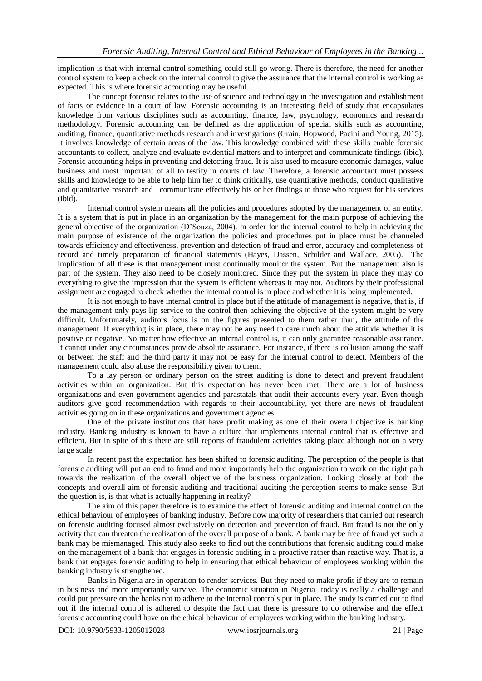implication is that with internal control something could still go wrong. There is therefore, the need for another control system to keep a check on the internal control to give the assurance that the internal control is working as expected. This is where forensic accounting may be useful.

The concept forensic relates to the use of science and technology in the investigation and establishment of facts or evidence in a court of law. Forensic accounting is an interesting field of study that encapsulates knowledge from various disciplines such as accounting, finance, law, psychology, economics and research methodology. Forensic accounting can be defined as the application of special skills such as accounting, auditing, finance, quantitative methods research and investigations (Grain, Hopwood, Pacini and Young, 2015). It involves knowledge of certain areas of the law. This knowledge combined with these skills enable forensic accountants to collect, analyze and evaluate evidential matters and to interpret and communicate findings (ibid). Forensic accounting helps in preventing and detecting fraud. It is also used to measure economic damages, value business and most important of all to testify in courts of law. Therefore, a forensic accountant must possess skills and knowledge to be able to help him her to think critically, use quantitative methods, conduct qualitative and quantitative research and communicate effectively his or her findings to those who request for his services (ibid).

Internal control system means all the policies and procedures adopted by the management of an entity. It is a system that is put in place in an organization by the management for the main purpose of achieving the general objective of the organization (D'Souza, 2004). In order for the internal control to help in achieving the main purpose of existence of the organization the policies and procedures put in place must be channeled towards efficiency and effectiveness, prevention and detection of fraud and error, accuracy and completeness of record and timely preparation of financial statements (Hayes, Dassen, Schilder and Wallace, 2005). The implication of all these is that management must continually monitor the system. But the management also is part of the system. They also need to be closely monitored. Since they put the system in place they may do everything to give the impression that the system is efficient whereas it may not. Auditors by their professional assignment are engaged to check whether the internal control is in place and whether it is being implemented.

It is not enough to have internal control in place but if the attitude of management is negative, that is, if the management only pays lip service to the control then achieving the objective of the system might be very difficult. Unfortunately, auditors focus is on the figures presented to them rather than, the attitude of the management. If everything is in place, there may not be any need to care much about the attitude whether it is positive or negative. No matter how effective an internal control is, it can only guarantee reasonable assurance. It cannot under any circumstances provide absolute assurance. For instance, if there is collusion among the staff or between the staff and the third party it may not be easy for the internal control to detect. Members of the management could also abuse the responsibility given to them.

To a lay person or ordinary person on the street auditing is done to detect and prevent fraudulent activities within an organization. But this expectation has never been met. There are a lot of business organizations and even government agencies and parastatals that audit their accounts every year. Even though auditors give good recommendation with regards to their accountability, yet there are news of fraudulent activities going on in these organizations and government agencies.

One of the private institutions that have profit making as one of their overall objective is banking industry. Banking industry is known to have a culture that implements internal control that is effective and efficient. But in spite of this there are still reports of fraudulent activities taking place although not on a very large scale.

In recent past the expectation has been shifted to forensic auditing. The perception of the people is that forensic auditing will put an end to fraud and more importantly help the organization to work on the right path towards the realization of the overall objective of the business organization. Looking closely at both the concepts and overall aim of forensic auditing and traditional auditing the perception seems to make sense. But the question is, is that what is actually happening in reality?

The aim of this paper therefore is to examine the effect of forensic auditing and internal control on the ethical behaviour of employees of banking industry. Before now majority of researchers that carried out research on forensic auditing focused almost exclusively on detection and prevention of fraud. But fraud is not the only activity that can threaten the realization of the overall purpose of a bank. A bank may be free of fraud yet such a bank may be mismanaged. This study also seeks to find out the contributions that forensic auditing could make on the management of a bank that engages in forensic auditing in a proactive rather than reactive way. That is, a bank that engages forensic auditing to help in ensuring that ethical behaviour of employees working within the banking industry is strengthened.

Banks in Nigeria are in operation to render services. But they need to make profit if they are to remain in business and more importantly survive. The economic situation in Nigeria today is really a challenge and could put pressure on the banks not to adhere to the internal controls put in place. The study is carried out to find out if the internal control is adhered to despite the fact that there is pressure to do otherwise and the effect forensic accounting could have on the ethical behaviour of employees working within the banking industry.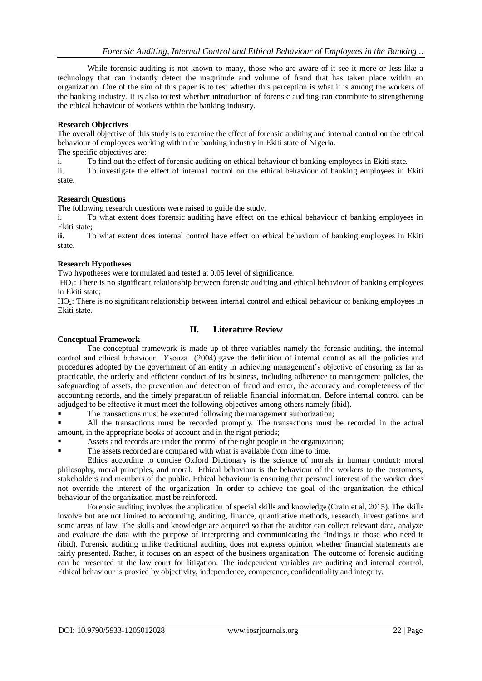While forensic auditing is not known to many, those who are aware of it see it more or less like a technology that can instantly detect the magnitude and volume of fraud that has taken place within an organization. One of the aim of this paper is to test whether this perception is what it is among the workers of the banking industry. It is also to test whether introduction of forensic auditing can contribute to strengthening the ethical behaviour of workers within the banking industry.

#### **Research Objectives**

The overall objective of this study is to examine the effect of forensic auditing and internal control on the ethical behaviour of employees working within the banking industry in Ekiti state of Nigeria.

The specific objectives are:

i. To find out the effect of forensic auditing on ethical behaviour of banking employees in Ekiti state.

ii. To investigate the effect of internal control on the ethical behaviour of banking employees in Ekiti state.

#### **Research Questions**

The following research questions were raised to guide the study.

i. To what extent does forensic auditing have effect on the ethical behaviour of banking employees in Ekiti state;

**ii.** To what extent does internal control have effect on ethical behaviour of banking employees in Ekiti state.

#### **Research Hypotheses**

Two hypotheses were formulated and tested at 0.05 level of significance.

 $HO<sub>1</sub>$ : There is no significant relationship between forensic auditing and ethical behaviour of banking employees in Ekiti state;

HO<sub>2</sub>: There is no significant relationship between internal control and ethical behaviour of banking employees in Ekiti state.

# **Conceptual Framework**

# **II. Literature Review**

The conceptual framework is made up of three variables namely the forensic auditing, the internal control and ethical behaviour. D'souza (2004) gave the definition of internal control as all the policies and procedures adopted by the government of an entity in achieving management's objective of ensuring as far as practicable, the orderly and efficient conduct of its business, including adherence to management policies, the safeguarding of assets, the prevention and detection of fraud and error, the accuracy and completeness of the accounting records, and the timely preparation of reliable financial information. Before internal control can be adjudged to be effective it must meet the following objectives among others namely (ibid).

#### The transactions must be executed following the management authorization;

 All the transactions must be recorded promptly. The transactions must be recorded in the actual amount, in the appropriate books of account and in the right periods;

- Assets and records are under the control of the right people in the organization;
- The assets recorded are compared with what is available from time to time.

Ethics according to concise Oxford Dictionary is the science of morals in human conduct: moral philosophy, moral principles, and moral. Ethical behaviour is the behaviour of the workers to the customers, stakeholders and members of the public. Ethical behaviour is ensuring that personal interest of the worker does not override the interest of the organization. In order to achieve the goal of the organization the ethical behaviour of the organization must be reinforced.

Forensic auditing involves the application of special skills and knowledge (Crain et al, 2015). The skills involve but are not limited to accounting, auditing, finance, quantitative methods, research, investigations and some areas of law. The skills and knowledge are acquired so that the auditor can collect relevant data, analyze and evaluate the data with the purpose of interpreting and communicating the findings to those who need it (ibid). Forensic auditing unlike traditional auditing does not express opinion whether financial statements are fairly presented. Rather, it focuses on an aspect of the business organization. The outcome of forensic auditing can be presented at the law court for litigation. The independent variables are auditing and internal control. Ethical behaviour is proxied by objectivity, independence, competence, confidentiality and integrity.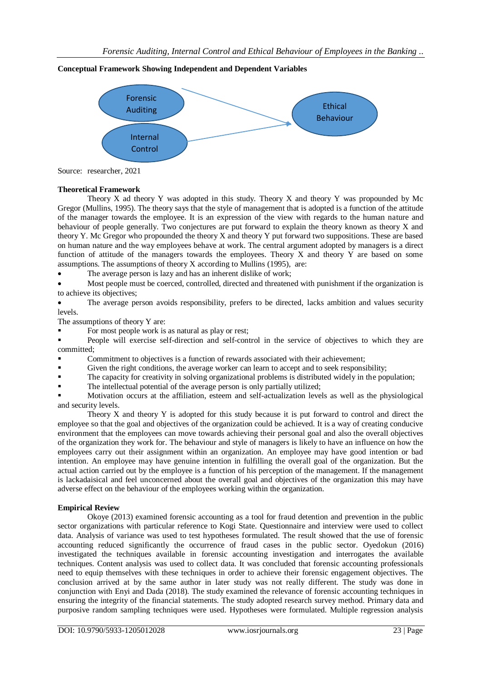# Forensic Auditing Internal **Control Ethical** Behaviour

#### **Conceptual Framework Showing Independent and Dependent Variables**

### **Theoretical Framework**

Theory X ad theory Y was adopted in this study. Theory X and theory Y was propounded by Mc Gregor (Mullins, 1995). The theory says that the style of management that is adopted is a function of the attitude of the manager towards the employee. It is an expression of the view with regards to the human nature and behaviour of people generally. Two conjectures are put forward to explain the theory known as theory X and theory Y. Mc Gregor who propounded the theory X and theory Y put forward two suppositions. These are based on human nature and the way employees behave at work. The central argument adopted by managers is a direct function of attitude of the managers towards the employees. Theory  $X$  and theory  $Y$  are based on some assumptions. The assumptions of theory X according to Mullins (1995), are:

• The average person is lazy and has an inherent dislike of work;

 Most people must be coerced, controlled, directed and threatened with punishment if the organization is to achieve its objectives;

 The average person avoids responsibility, prefers to be directed, lacks ambition and values security levels.

The assumptions of theory Y are:

For most people work is as natural as play or rest;

 People will exercise self-direction and self-control in the service of objectives to which they are committed;

- Commitment to objectives is a function of rewards associated with their achievement;
- Given the right conditions, the average worker can learn to accept and to seek responsibility;
- The capacity for creativity in solving organizational problems is distributed widely in the population;
- The intellectual potential of the average person is only partially utilized;

 Motivation occurs at the affiliation, esteem and self-actualization levels as well as the physiological and security levels.

Theory X and theory Y is adopted for this study because it is put forward to control and direct the employee so that the goal and objectives of the organization could be achieved. It is a way of creating conducive environment that the employees can move towards achieving their personal goal and also the overall objectives of the organization they work for. The behaviour and style of managers is likely to have an influence on how the employees carry out their assignment within an organization. An employee may have good intention or bad intention. An employee may have genuine intention in fulfilling the overall goal of the organization. But the actual action carried out by the employee is a function of his perception of the management. If the management is lackadaisical and feel unconcerned about the overall goal and objectives of the organization this may have adverse effect on the behaviour of the employees working within the organization.

# **Empirical Review**

Okoye (2013) examined forensic accounting as a tool for fraud detention and prevention in the public sector organizations with particular reference to Kogi State. Questionnaire and interview were used to collect data. Analysis of variance was used to test hypotheses formulated. The result showed that the use of forensic accounting reduced significantly the occurrence of fraud cases in the public sector. Oyedokun (2016) investigated the techniques available in forensic accounting investigation and interrogates the available techniques. Content analysis was used to collect data. It was concluded that forensic accounting professionals need to equip themselves with these techniques in order to achieve their forensic engagement objectives. The conclusion arrived at by the same author in later study was not really different. The study was done in conjunction with Enyi and Dada (2018). The study examined the relevance of forensic accounting techniques in ensuring the integrity of the financial statements. The study adopted research survey method. Primary data and purposive random sampling techniques were used. Hypotheses were formulated. Multiple regression analysis

Source: researcher, 2021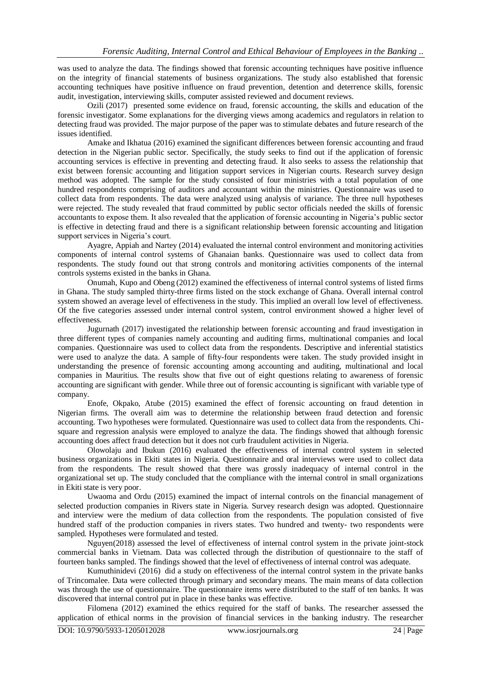was used to analyze the data. The findings showed that forensic accounting techniques have positive influence on the integrity of financial statements of business organizations. The study also established that forensic accounting techniques have positive influence on fraud prevention, detention and deterrence skills, forensic audit, investigation, interviewing skills, computer assisted reviewed and document reviews.

Ozili (2017) presented some evidence on fraud, forensic accounting, the skills and education of the forensic investigator. Some explanations for the diverging views among academics and regulators in relation to detecting fraud was provided. The major purpose of the paper was to stimulate debates and future research of the issues identified.

Amake and Ikhatua (2016) examined the significant differences between forensic accounting and fraud detection in the Nigerian public sector. Specifically, the study seeks to find out if the application of forensic accounting services is effective in preventing and detecting fraud. It also seeks to assess the relationship that exist between forensic accounting and litigation support services in Nigerian courts. Research survey design method was adopted. The sample for the study consisted of four ministries with a total population of one hundred respondents comprising of auditors and accountant within the ministries. Questionnaire was used to collect data from respondents. The data were analyzed using analysis of variance. The three null hypotheses were rejected. The study revealed that fraud committed by public sector officials needed the skills of forensic accountants to expose them. It also revealed that the application of forensic accounting in Nigeria's public sector is effective in detecting fraud and there is a significant relationship between forensic accounting and litigation support services in Nigeria's court.

Ayagre, Appiah and Nartey (2014) evaluated the internal control environment and monitoring activities components of internal control systems of Ghanaian banks. Questionnaire was used to collect data from respondents. The study found out that strong controls and monitoring activities components of the internal controls systems existed in the banks in Ghana.

Onumah, Kupo and Obeng (2012) examined the effectiveness of internal control systems of listed firms in Ghana. The study sampled thirty-three firms listed on the stock exchange of Ghana. Overall internal control system showed an average level of effectiveness in the study. This implied an overall low level of effectiveness. Of the five categories assessed under internal control system, control environment showed a higher level of effectiveness.

Jugurnath (2017) investigated the relationship between forensic accounting and fraud investigation in three different types of companies namely accounting and auditing firms, multinational companies and local companies. Questionnaire was used to collect data from the respondents. Descriptive and inferential statistics were used to analyze the data. A sample of fifty-four respondents were taken. The study provided insight in understanding the presence of forensic accounting among accounting and auditing, multinational and local companies in Mauritius. The results show that five out of eight questions relating to awareness of forensic accounting are significant with gender. While three out of forensic accounting is significant with variable type of company.

Enofe, Okpako, Atube (2015) examined the effect of forensic accounting on fraud detention in Nigerian firms. The overall aim was to determine the relationship between fraud detection and forensic accounting. Two hypotheses were formulated. Questionnaire was used to collect data from the respondents. Chisquare and regression analysis were employed to analyze the data. The findings showed that although forensic accounting does affect fraud detection but it does not curb fraudulent activities in Nigeria.

Olowolaju and Ibukun (2016) evaluated the effectiveness of internal control system in selected business organizations in Ekiti states in Nigeria. Questionnaire and oral interviews were used to collect data from the respondents. The result showed that there was grossly inadequacy of internal control in the organizational set up. The study concluded that the compliance with the internal control in small organizations in Ekiti state is very poor.

Uwaoma and Ordu (2015) examined the impact of internal controls on the financial management of selected production companies in Rivers state in Nigeria. Survey research design was adopted. Questionnaire and interview were the medium of data collection from the respondents. The population consisted of five hundred staff of the production companies in rivers states. Two hundred and twenty- two respondents were sampled. Hypotheses were formulated and tested.

Nguyen(2018) assessed the level of effectiveness of internal control system in the private joint-stock commercial banks in Vietnam. Data was collected through the distribution of questionnaire to the staff of fourteen banks sampled. The findings showed that the level of effectiveness of internal control was adequate.

Kumuthinidevi (2016) did a study on effectiveness of the internal control system in the private banks of Trincomalee. Data were collected through primary and secondary means. The main means of data collection was through the use of questionnaire. The questionnaire items were distributed to the staff of ten banks. It was discovered that internal control put in place in these banks was effective.

Filomena (2012) examined the ethics required for the staff of banks. The researcher assessed the application of ethical norms in the provision of financial services in the banking industry. The researcher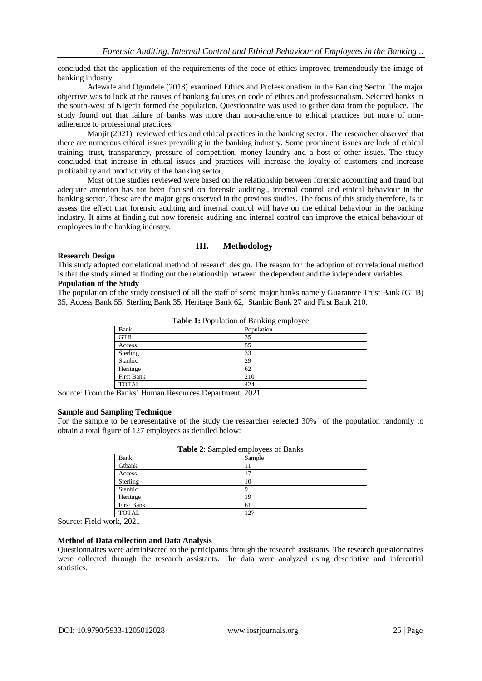concluded that the application of the requirements of the code of ethics improved tremendously the image of banking industry.

Adewale and Ogundele (2018) examined Ethics and Professionalism in the Banking Sector. The major objective was to look at the causes of banking failures on code of ethics and professionalism. Selected banks in the south-west of Nigeria formed the population. Questionnaire was used to gather data from the populace. The study found out that failure of banks was more than non-adherence to ethical practices but more of nonadherence to professional practices.

Manjit (2021) reviewed ethics and ethical practices in the banking sector. The researcher observed that there are numerous ethical issues prevailing in the banking industry. Some prominent issues are lack of ethical training, trust, transparency, pressure of competition, money laundry and a host of other issues. The study concluded that increase in ethical issues and practices will increase the loyalty of customers and increase profitability and productivity of the banking sector.

Most of the studies reviewed were based on the relationship between forensic accounting and fraud but adequate attention has not been focused on forensic auditing,, internal control and ethical behaviour in the banking sector. These are the major gaps observed in the previous studies. The focus of this study therefore, is to assess the effect that forensic auditing and internal control will have on the ethical behaviour in the banking industry. It aims at finding out how forensic auditing and internal control can improve the ethical behaviour of employees in the banking industry.

# **III. Methodology**

#### **Research Design**

This study adopted correlational method of research design. The reason for the adoption of correlational method is that the study aimed at finding out the relationship between the dependent and the independent variables. **Population of the Study**

The population of the study consisted of all the staff of some major banks namely Guarantee Trust Bank (GTB) 35, Access Bank 55, Sterling Bank 35, Heritage Bank 62, Stanbic Bank 27 and First Bank 210.

| Bank         | Population |  |  |  |
|--------------|------------|--|--|--|
| <b>GTB</b>   | 35         |  |  |  |
| Access       | 55         |  |  |  |
| Sterling     | 33         |  |  |  |
| Stanbic      | 29         |  |  |  |
| Heritage     | 62         |  |  |  |
| First Bank   | 210        |  |  |  |
| <b>TOTAL</b> | 424        |  |  |  |

**Table 1:** Population of Banking employee

Source: From the Banks' Human Resources Department, 2021

## **Sample and Sampling Technique**

For the sample to be representative of the study the researcher selected 30% of the population randomly to obtain a total figure of 127 employees as detailed below:

| <b>Table 2:</b> Sampled employees of Danks |        |  |  |  |
|--------------------------------------------|--------|--|--|--|
| Bank                                       | Sample |  |  |  |
| Gtbank                                     |        |  |  |  |
| Access                                     | 17     |  |  |  |
| Sterling                                   | 10     |  |  |  |
| Stanbic                                    |        |  |  |  |
| Heritage                                   | 19     |  |  |  |
| First Bank                                 | 61     |  |  |  |
| <b>TOTAL</b>                               | 127    |  |  |  |

**Table 2**: Sampled employees of Banks

Source: Field work, 2021

#### **Method of Data collection and Data Analysis**

Questionnaires were administered to the participants through the research assistants. The research questionnaires were collected through the research assistants. The data were analyzed using descriptive and inferential statistics.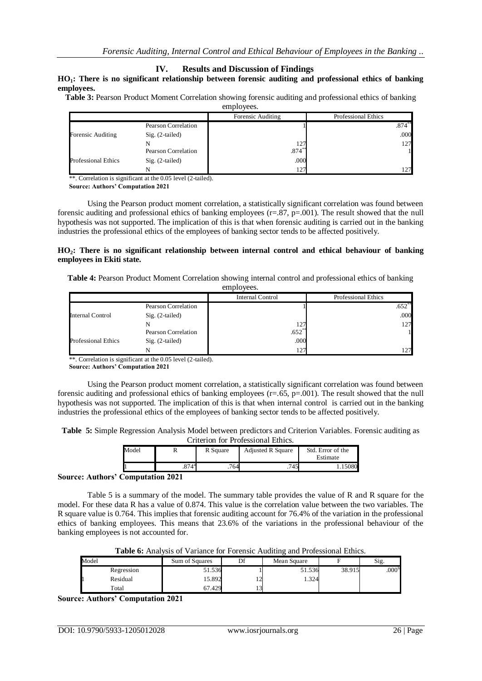#### **IV. Results and Discussion of Findings**

#### **HO1: There is no significant relationship between forensic auditing and professional ethics of banking employees.**

**Table 3:** Pearson Product Moment Correlation showing forensic auditing and professional ethics of banking employees.

|                            |                     | Forensic Auditing    | Professional Ethics |
|----------------------------|---------------------|----------------------|---------------------|
|                            | Pearson Correlation |                      | $.874**$            |
| Forensic Auditing          | $Sig. (2-tailed)$   |                      | .000                |
|                            |                     | 127                  | 127                 |
|                            | Pearson Correlation | $.874$ <sup>**</sup> |                     |
| <b>Professional Ethics</b> | $Sig. (2-tailed)$   | .000                 |                     |
|                            |                     | 127                  | 127                 |

\*\*. Correlation is significant at the 0.05 level (2-tailed).

**Source: Authors' Computation 2021**

Using the Pearson product moment correlation, a statistically significant correlation was found between forensic auditing and professional ethics of banking employees  $(r=.87, p=.001)$ . The result showed that the null hypothesis was not supported. The implication of this is that when forensic auditing is carried out in the banking industries the professional ethics of the employees of banking sector tends to be affected positively.

#### **HO2: There is no significant relationship between internal control and ethical behaviour of banking employees in Ekiti state.**

**Table 4:** Pearson Product Moment Correlation showing internal control and professional ethics of banking employees.

|                            |                     | <b>Internal Control</b> | <b>Professional Ethics</b> |
|----------------------------|---------------------|-------------------------|----------------------------|
|                            | Pearson Correlation |                         | .652                       |
| Internal Control           | $Sig. (2-tailed)$   |                         | .000                       |
|                            |                     | 127                     | 127                        |
|                            | Pearson Correlation | $.652**$                |                            |
| <b>Professional Ethics</b> | $Sig. (2-tailed)$   | .000                    |                            |
|                            |                     | 127                     |                            |

\*\*. Correlation is significant at the 0.05 level (2-tailed).

**Source: Authors' Computation 2021**

Using the Pearson product moment correlation, a statistically significant correlation was found between forensic auditing and professional ethics of banking employees (r=.65, p=.001). The result showed that the null hypothesis was not supported. The implication of this is that when internal control is carried out in the banking industries the professional ethics of the employees of banking sector tends to be affected positively.

| Table 5: Simple Regression Analysis Model between predictors and Criterion Variables. Forensic auditing as |  |                                    |  |  |
|------------------------------------------------------------------------------------------------------------|--|------------------------------------|--|--|
|                                                                                                            |  | Criterion for Professional Ethics. |  |  |

| Model |                | R Square | <b>Adjusted R Square</b> | Std. Error of the |  |  |  |  |
|-------|----------------|----------|--------------------------|-------------------|--|--|--|--|
|       |                |          |                          | Estimate          |  |  |  |  |
|       | $.874^{\circ}$ | 764      | '45                      |                   |  |  |  |  |

## **Source: Authors' Computation 2021**

Table 5 is a summary of the model. The summary table provides the value of R and R square for the model. For these data R has a value of 0.874. This value is the correlation value between the two variables. The R square value is 0.764. This implies that forensic auditing account for 76.4% of the variation in the professional ethics of banking employees. This means that 23.6% of the variations in the professional behaviour of the banking employees is not accounted for.

| <b>Table 6:</b> Analysis of Variance for Forensic Auditing and Professional Ethics. |  |
|-------------------------------------------------------------------------------------|--|
|-------------------------------------------------------------------------------------|--|

| Model      | Sum of Squares | Df  | Mean Square |        | $\sim$<br>$S1g$ . |
|------------|----------------|-----|-------------|--------|-------------------|
| Regression | 51.536         |     | 51.536      | 38.915 | .000 <sup>b</sup> |
| Residual   | 15.892         | ⌒   | . 324       |        |                   |
| Total      | 67.429         | . . |             |        |                   |

**Source: Authors' Computation 2021**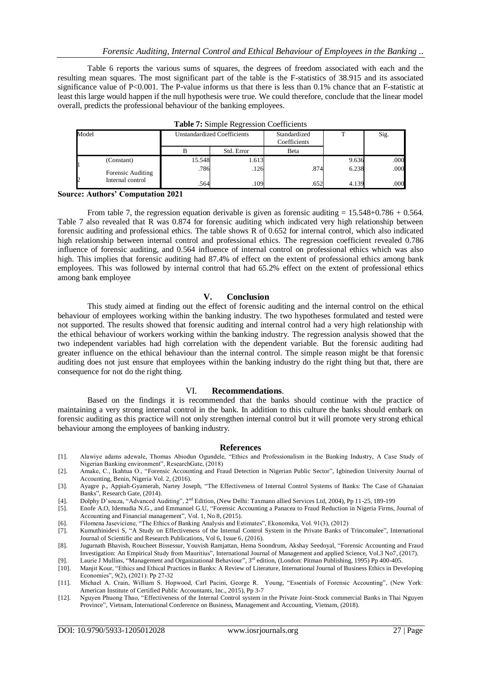Table 6 reports the various sums of squares, the degrees of freedom associated with each and the resulting mean squares. The most significant part of the table is the F-statistics of 38.915 and its associated significance value of P<0.001. The P-value informs us that there is less than 0.1% chance that an F-statistic at least this large would happen if the null hypothesis were true. We could therefore, conclude that the linear model overall, predicts the professional behaviour of the banking employees.

| Model             |        | <b>Unstandardized Coefficients</b> | Standardized<br>Coefficients |       | Sig. |
|-------------------|--------|------------------------------------|------------------------------|-------|------|
|                   |        | Std. Error                         | <b>B</b> eta                 |       |      |
| (Constant)        | 15.548 | 1.613                              |                              | 9.636 | .000 |
| Forensic Auditing | .786   | .126                               | .874                         | 6.238 | .000 |
| Internal control  | .564   | .109                               | .652                         | 4.139 | .000 |

#### **Source: Authors' Computation 2021**

From table 7, the regression equation derivable is given as forensic auditing  $= 15.548+0.786 + 0.564$ . Table 7 also revealed that R was 0.874 for forensic auditing which indicated very high relationship between forensic auditing and professional ethics. The table shows R of 0.652 for internal control, which also indicated high relationship between internal control and professional ethics. The regression coefficient revealed 0.786 influence of forensic auditing, and 0.564 influence of internal control on professional ethics which was also high. This implies that forensic auditing had 87.4% of effect on the extent of professional ethics among bank employees. This was followed by internal control that had 65.2% effect on the extent of professional ethics among bank employee

#### **V. Conclusion**

This study aimed at finding out the effect of forensic auditing and the internal control on the ethical behaviour of employees working within the banking industry. The two hypotheses formulated and tested were not supported. The results showed that forensic auditing and internal control had a very high relationship with the ethical behaviour of workers working within the banking industry. The regression analysis showed that the two independent variables had high correlation with the dependent variable. But the forensic auditing had greater influence on the ethical behaviour than the internal control. The simple reason might be that forensic auditing does not just ensure that employees within the banking industry do the right thing but that, there are consequence for not do the right thing.

#### VI. **Recommendations**.

Based on the findings it is recommended that the banks should continue with the practice of maintaining a very strong internal control in the bank. In addition to this culture the banks should embark on forensic auditing as this practice will not only strengthen internal control but it will promote very strong ethical behaviour among the employees of banking industry.

#### **References**

- [1]. Alawiye adams adewale, Thomas Abiodun Ogundele, "Ethics and Professionalism in the Banking Industry, A Case Study of Nigerian Banking environment", ResearchGate, (2018)
- [2]. Amake, C., Ikahtua O., "Forensic Accounting and Fraud Detection in Nigerian Public Sector", Igbinedion University Journal of Accounting, Benin, Nigeria Vol. 2, (2016).
- [3]. Ayagre p., Appiah-Gyamerah, Nartey Joseph, "The Effectiveness of Internal Control Systems of Banks: The Case of Ghanaian Banks", Research Gate, (2014).
- [4]. Dolphy D'souza, "Advanced Auditing", 2<sup>nd</sup> Edition, (New Delhi: Taxmann allied Services Ltd, 2004), Pp 11-25, 189-199<br>[5]. Enofe A.O, Idemudia N.G., and Emmanuel G.U, "Forensic Accounting a Panacea to Fraud Reduction
- Enofe A.O, Idemudia N.G., and Emmanuel G.U, "Forensic Accounting a Panacea to Fraud Reduction in Nigeria Firms, Journal of Accounting and Financial management", Vol. 1, No 8, (2015).
- [6]. Filomena Jaseviciene, "The Ethics of Banking Analysis and Estimates", Ekonomika, Vol. 91(3), (2012)
- [7]. Kumuthinidevi S, "A Study on Effectiveness of the Internal Control System in the Private Banks of Trincomalee", International Journal of Scientific and Research Publications, Vol 6, Issue 6, (2016).
- [8]. Jugurnath Bhavish, Roucheet Bissessur, Youvish Ramjattan, Hema Soondrum, Akshay Seedoyal, "Forensic Accounting and Fraud Investigation: An Empirical Study from Mauritius", International Journal of Management and applied Science, Vol.3 No7, (2017).
- [9]. Laurie J Mullins, "Management and Organizational Behaviour", 3<sup>rd</sup> edition, (London: Pitman Publishing, 1995) Pp 400-405.
- [10]. Manjit Kour, "Ethics and Ethical Practices in Banks: A Review of Literature, International Journal of Business Ethics in Developing Economies", 9(2), (2021): Pp 27-32
- [11]. Michael A. Crain, William S. Hopwood, Carl Pacini, George R. Young, "Essentials of Forensic Accounting", (New York: American Institute of Certified Public Accountants, Inc., 2015), Pp 3-7
- [12]. Nguyen Phuong Thao, "Effectiveness of the Internal Control system in the Private Joint-Stock commercial Banks in Thai Nguyen Province", Vietnam, International Conference on Business, Management and Accounting, Vietnam, (2018).